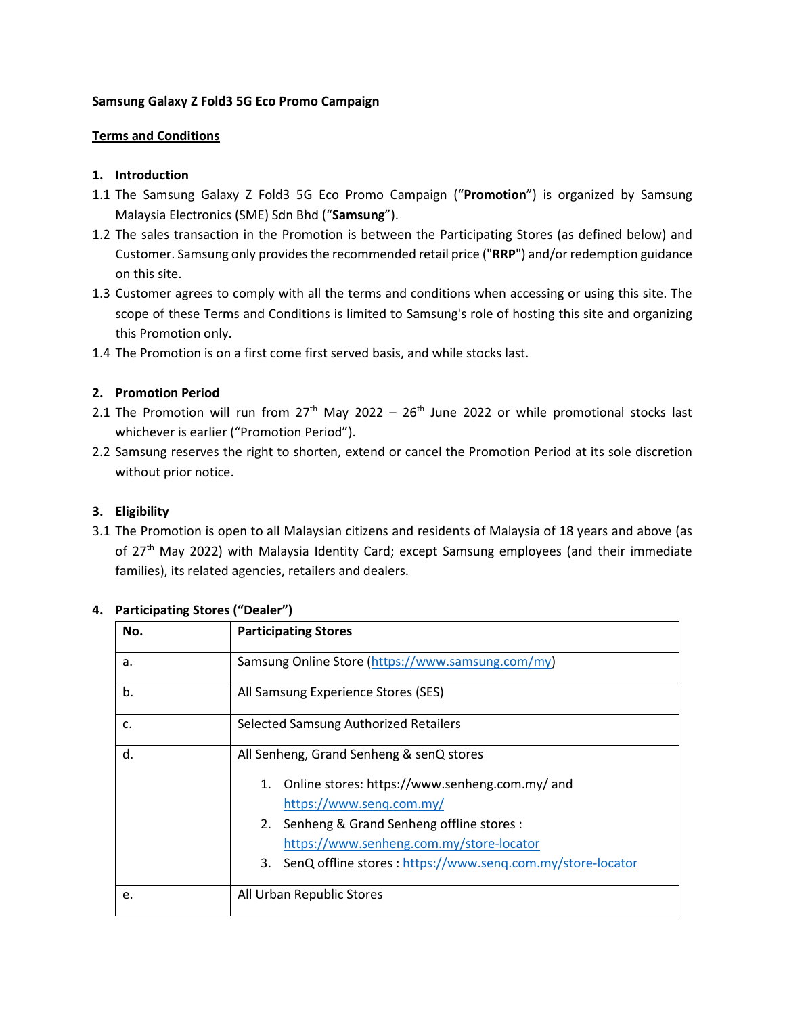### **Samsung Galaxy Z Fold3 5G Eco Promo Campaign**

### **Terms and Conditions**

### **1. Introduction**

- 1.1 The Samsung Galaxy Z Fold3 5G Eco Promo Campaign ("**Promotion**") is organized by Samsung Malaysia Electronics (SME) Sdn Bhd ("**Samsung**").
- 1.2 The sales transaction in the Promotion is between the Participating Stores (as defined below) and Customer. Samsung only provides the recommended retail price ("**RRP**") and/or redemption guidance on this site.
- 1.3 Customer agrees to comply with all the terms and conditions when accessing or using this site. The scope of these Terms and Conditions is limited to Samsung's role of hosting this site and organizing this Promotion only.
- 1.4 The Promotion is on a first come first served basis, and while stocks last.

### **2. Promotion Period**

- 2.1 The Promotion will run from  $27<sup>th</sup>$  May 2022 26<sup>th</sup> June 2022 or while promotional stocks last whichever is earlier ("Promotion Period").
- 2.2 Samsung reserves the right to shorten, extend or cancel the Promotion Period at its sole discretion without prior notice.

#### **3. Eligibility**

3.1 The Promotion is open to all Malaysian citizens and residents of Malaysia of 18 years and above (as of 27<sup>th</sup> May 2022) with Malaysia Identity Card; except Samsung employees (and their immediate families), its related agencies, retailers and dealers.

| No. | <b>Participating Stores</b>                                      |  |  |
|-----|------------------------------------------------------------------|--|--|
| а.  | Samsung Online Store (https://www.samsung.com/my)                |  |  |
| b.  | All Samsung Experience Stores (SES)                              |  |  |
| c.  | Selected Samsung Authorized Retailers                            |  |  |
| d.  | All Senheng, Grand Senheng & senQ stores                         |  |  |
|     | Online stores: https://www.senheng.com.my/ and<br>1.             |  |  |
|     | https://www.seng.com.my/                                         |  |  |
|     | 2. Senheng & Grand Senheng offline stores :                      |  |  |
|     | https://www.senheng.com.my/store-locator                         |  |  |
|     | SenQ offline stores: https://www.senq.com.my/store-locator<br>3. |  |  |
| e.  | All Urban Republic Stores                                        |  |  |

#### **4. Participating Stores ("Dealer")**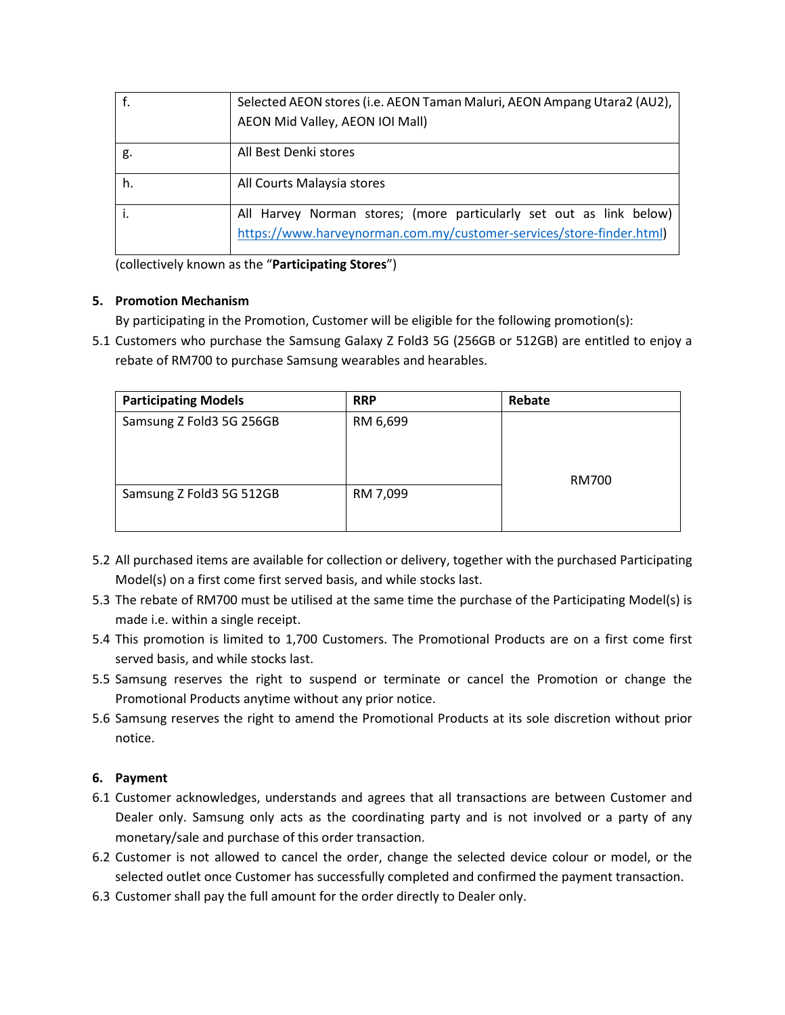|    | Selected AEON stores (i.e. AEON Taman Maluri, AEON Ampang Utara2 (AU2), |  |
|----|-------------------------------------------------------------------------|--|
|    | AEON Mid Valley, AEON IOI Mall)                                         |  |
| g. | All Best Denki stores                                                   |  |
| h. | All Courts Malaysia stores                                              |  |
|    | All Harvey Norman stores; (more particularly set out as link below)     |  |
|    | https://www.harveynorman.com.my/customer-services/store-finder.html)    |  |

(collectively known as the "**Participating Stores**")

# **5. Promotion Mechanism**

By participating in the Promotion, Customer will be eligible for the following promotion(s):

5.1 Customers who purchase the Samsung Galaxy Z Fold3 5G (256GB or 512GB) are entitled to enjoy a rebate of RM700 to purchase Samsung wearables and hearables.

| <b>Participating Models</b> | <b>RRP</b> | Rebate |
|-----------------------------|------------|--------|
| Samsung Z Fold3 5G 256GB    | RM 6,699   |        |
| Samsung Z Fold3 5G 512GB    | RM 7,099   | RM700  |

- 5.2 All purchased items are available for collection or delivery, together with the purchased Participating Model(s) on a first come first served basis, and while stocks last.
- 5.3 The rebate of RM700 must be utilised at the same time the purchase of the Participating Model(s) is made i.e. within a single receipt.
- 5.4 This promotion is limited to 1,700 Customers. The Promotional Products are on a first come first served basis, and while stocks last.
- 5.5 Samsung reserves the right to suspend or terminate or cancel the Promotion or change the Promotional Products anytime without any prior notice.
- 5.6 Samsung reserves the right to amend the Promotional Products at its sole discretion without prior notice.

# **6. Payment**

- 6.1 Customer acknowledges, understands and agrees that all transactions are between Customer and Dealer only. Samsung only acts as the coordinating party and is not involved or a party of any monetary/sale and purchase of this order transaction.
- 6.2 Customer is not allowed to cancel the order, change the selected device colour or model, or the selected outlet once Customer has successfully completed and confirmed the payment transaction.
- 6.3 Customer shall pay the full amount for the order directly to Dealer only.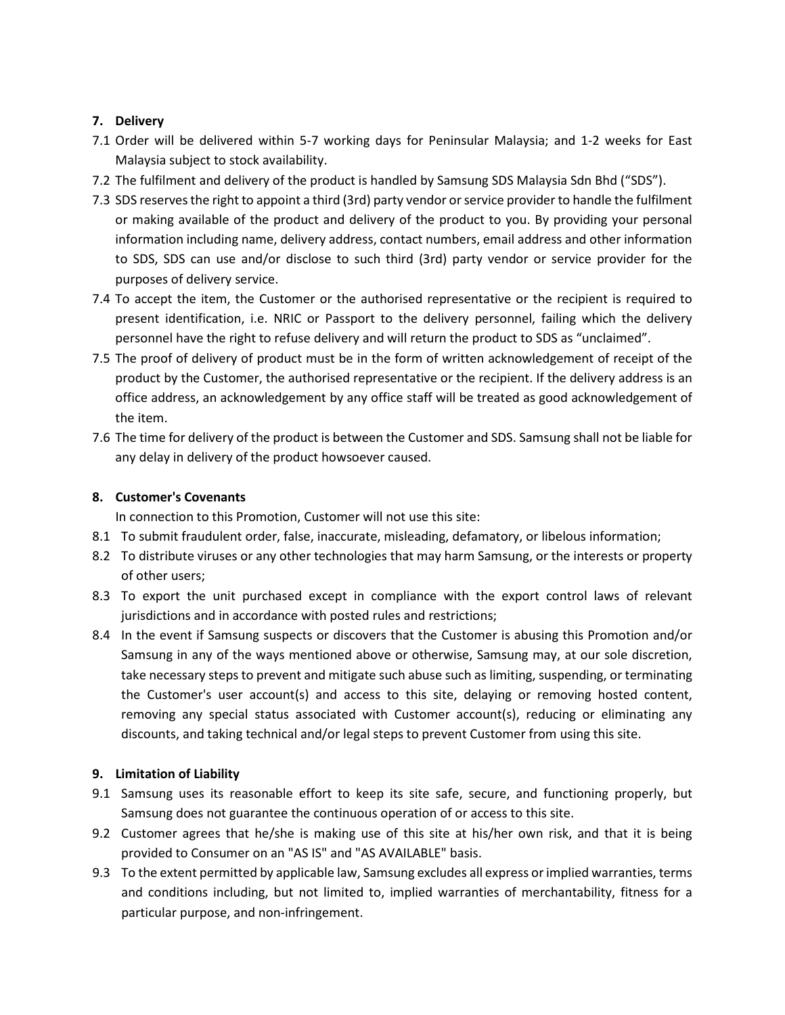# **7. Delivery**

- 7.1 Order will be delivered within 5-7 working days for Peninsular Malaysia; and 1-2 weeks for East Malaysia subject to stock availability.
- 7.2 The fulfilment and delivery of the product is handled by Samsung SDS Malaysia Sdn Bhd ("SDS").
- 7.3 SDS reserves the right to appoint a third (3rd) party vendor or service provider to handle the fulfilment or making available of the product and delivery of the product to you. By providing your personal information including name, delivery address, contact numbers, email address and other information to SDS, SDS can use and/or disclose to such third (3rd) party vendor or service provider for the purposes of delivery service.
- 7.4 To accept the item, the Customer or the authorised representative or the recipient is required to present identification, i.e. NRIC or Passport to the delivery personnel, failing which the delivery personnel have the right to refuse delivery and will return the product to SDS as "unclaimed".
- 7.5 The proof of delivery of product must be in the form of written acknowledgement of receipt of the product by the Customer, the authorised representative or the recipient. If the delivery address is an office address, an acknowledgement by any office staff will be treated as good acknowledgement of the item.
- 7.6 The time for delivery of the product is between the Customer and SDS. Samsung shall not be liable for any delay in delivery of the product howsoever caused.

# **8. Customer's Covenants**

In connection to this Promotion, Customer will not use this site:

- 8.1 To submit fraudulent order, false, inaccurate, misleading, defamatory, or libelous information;
- 8.2 To distribute viruses or any other technologies that may harm Samsung, or the interests or property of other users;
- 8.3 To export the unit purchased except in compliance with the export control laws of relevant jurisdictions and in accordance with posted rules and restrictions;
- 8.4 In the event if Samsung suspects or discovers that the Customer is abusing this Promotion and/or Samsung in any of the ways mentioned above or otherwise, Samsung may, at our sole discretion, take necessary steps to prevent and mitigate such abuse such as limiting, suspending, or terminating the Customer's user account(s) and access to this site, delaying or removing hosted content, removing any special status associated with Customer account(s), reducing or eliminating any discounts, and taking technical and/or legal steps to prevent Customer from using this site.

# **9. Limitation of Liability**

- 9.1 Samsung uses its reasonable effort to keep its site safe, secure, and functioning properly, but Samsung does not guarantee the continuous operation of or access to this site.
- 9.2 Customer agrees that he/she is making use of this site at his/her own risk, and that it is being provided to Consumer on an "AS IS" and "AS AVAILABLE" basis.
- 9.3 To the extent permitted by applicable law, Samsung excludes all express or implied warranties, terms and conditions including, but not limited to, implied warranties of merchantability, fitness for a particular purpose, and non-infringement.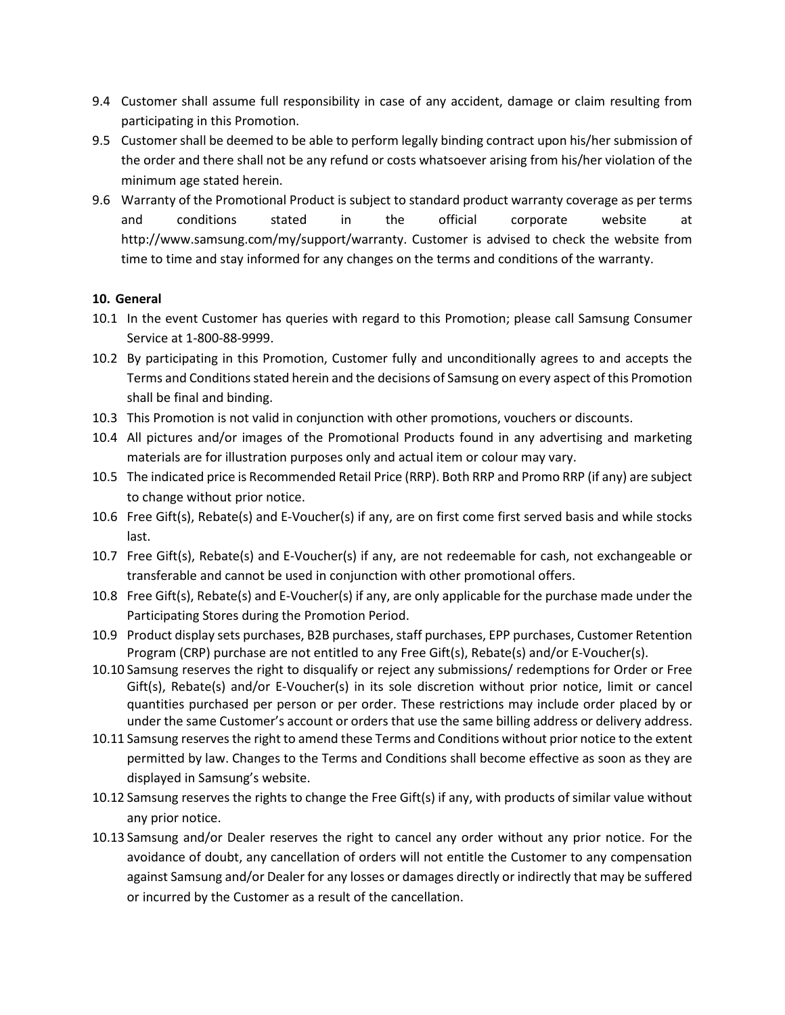- 9.4 Customer shall assume full responsibility in case of any accident, damage or claim resulting from participating in this Promotion.
- 9.5 Customer shall be deemed to be able to perform legally binding contract upon his/her submission of the order and there shall not be any refund or costs whatsoever arising from his/her violation of the minimum age stated herein.
- 9.6 Warranty of the Promotional Product is subject to standard product warranty coverage as per terms and conditions stated in the official corporate website at http://www.samsung.com/my/support/warranty. Customer is advised to check the website from time to time and stay informed for any changes on the terms and conditions of the warranty.

#### **10. General**

- 10.1 In the event Customer has queries with regard to this Promotion; please call Samsung Consumer Service at 1-800-88-9999.
- 10.2 By participating in this Promotion, Customer fully and unconditionally agrees to and accepts the Terms and Conditions stated herein and the decisions of Samsung on every aspect of this Promotion shall be final and binding.
- 10.3 This Promotion is not valid in conjunction with other promotions, vouchers or discounts.
- 10.4 All pictures and/or images of the Promotional Products found in any advertising and marketing materials are for illustration purposes only and actual item or colour may vary.
- 10.5 The indicated price is Recommended Retail Price (RRP). Both RRP and Promo RRP (if any) are subject to change without prior notice.
- 10.6 Free Gift(s), Rebate(s) and E-Voucher(s) if any, are on first come first served basis and while stocks last.
- 10.7 Free Gift(s), Rebate(s) and E-Voucher(s) if any, are not redeemable for cash, not exchangeable or transferable and cannot be used in conjunction with other promotional offers.
- 10.8 Free Gift(s), Rebate(s) and E-Voucher(s) if any, are only applicable for the purchase made under the Participating Stores during the Promotion Period.
- 10.9 Product display sets purchases, B2B purchases, staff purchases, EPP purchases, Customer Retention Program (CRP) purchase are not entitled to any Free Gift(s), Rebate(s) and/or E-Voucher(s).
- 10.10 Samsung reserves the right to disqualify or reject any submissions/ redemptions for Order or Free Gift(s), Rebate(s) and/or E-Voucher(s) in its sole discretion without prior notice, limit or cancel quantities purchased per person or per order. These restrictions may include order placed by or under the same Customer's account or orders that use the same billing address or delivery address.
- 10.11 Samsung reserves the right to amend these Terms and Conditions without prior notice to the extent permitted by law. Changes to the Terms and Conditions shall become effective as soon as they are displayed in Samsung's website.
- 10.12 Samsung reserves the rights to change the Free Gift(s) if any, with products of similar value without any prior notice.
- 10.13 Samsung and/or Dealer reserves the right to cancel any order without any prior notice. For the avoidance of doubt, any cancellation of orders will not entitle the Customer to any compensation against Samsung and/or Dealer for any losses or damages directly or indirectly that may be suffered or incurred by the Customer as a result of the cancellation.